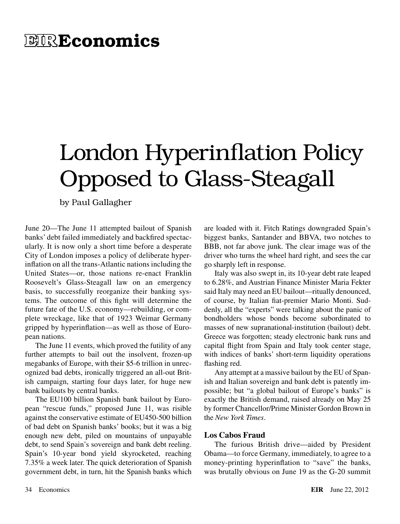## **EIREconomics**

# London Hyperinflation Policy Opposed to Glass-Steagall

by Paul Gallagher

June 20—The June 11 attempted bailout of Spanish banks' debt failed immediately and backfired spectacularly. It is now only a short time before a desperate City of London imposes a policy of deliberate hyperinflation on all the trans-Atlantic nations including the United States—or, those nations re-enact Franklin Roosevelt's Glass-Steagall law on an emergency basis, to successfully reorganize their banking systems. The outcome of this fight will determine the future fate of the U.S. economy—rebuilding, or complete wreckage, like that of 1923 Weimar Germany gripped by hyperinflation—as well as those of European nations.

The June 11 events, which proved the futility of any further attempts to bail out the insolvent, frozen-up megabanks of Europe, with their \$5-6 trillion in unrecognized bad debts, ironically triggered an all-out British campaign, starting four days later, for huge new bank bailouts by central banks.

The EU100 billion Spanish bank bailout by European "rescue funds," proposed June 11, was risible against the conservative estimate of EU450-500 billion of bad debt on Spanish banks' books; but it was a big enough new debt, piled on mountains of unpayable debt, to send Spain's sovereign and bank debt reeling. Spain's 10-year bond yield skyrocketed, reaching 7.35% a week later. The quick deterioration of Spanish government debt, in turn, hit the Spanish banks which are loaded with it. Fitch Ratings downgraded Spain's biggest banks, Santander and BBVA, two notches to BBB, not far above junk. The clear image was of the driver who turns the wheel hard right, and sees the car go sharply left in response.

Italy was also swept in, its 10-year debt rate leaped to 6.28%, and Austrian Finance Minister Maria Fekter said Italy may need an EU bailout—ritually denounced, of course, by Italian fiat-premier Mario Monti. Suddenly, all the "experts" were talking about the panic of bondholders whose bonds become subordinated to masses of new supranational-institution (bailout) debt. Greece was forgotten; steady electronic bank runs and capital flight from Spain and Italy took center stage, with indices of banks' short-term liquidity operations flashing red.

Any attempt at a massive bailout by the EU of Spanish and Italian sovereign and bank debt is patently impossible; but "a global bailout of Europe's banks" is exactly the British demand, raised already on May 25 by former Chancellor/Prime Minister Gordon Brown in the *New York Times*.

#### **Los Cabos Fraud**

The furious British drive—aided by President Obama—to force Germany, immediately, to agree to a money-printing hyperinflation to "save" the banks, was brutally obvious on June 19 as the G-20 summit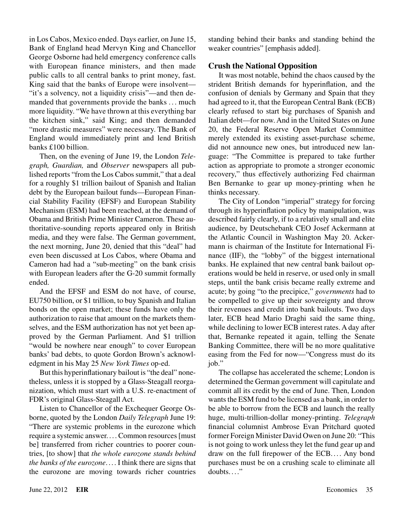in Los Cabos, Mexico ended. Days earlier, on June 15, Bank of England head Mervyn King and Chancellor George Osborne had held emergency conference calls with European finance ministers, and then made public calls to all central banks to print money, fast. King said that the banks of Europe were insolvent— "it's a solvency, not a liquidity crisis"—and then demanded that governments provide the banks . . . much more liquidity. "We have thrown at this everything bar the kitchen sink," said King; and then demanded "more drastic measures" were necessary. The Bank of England would immediately print and lend British banks £100 billion.

Then, on the evening of June 19, the London *Telegraph, Guardian,* and *Observer* newspapers all published reports "from the Los Cabos summit," that a deal for a roughly \$1 trillion bailout of Spanish and Italian debt by the European bailout funds—European Financial Stability Facility (EFSF) and European Stability Mechanism (ESM) had been reached, at the demand of Obama and British Prime Minister Cameron. These authoritative-sounding reports appeared only in British media, and they were false. The German government, the next morning, June 20, denied that this "deal" had even been discussed at Los Cabos, where Obama and Cameron had had a "sub-meeting" on the bank crisis with European leaders after the G-20 summit formally ended.

And the EFSF and ESM do not have, of course, EU750 billion, or \$1 trillion, to buy Spanish and Italian bonds on the open market; these funds have only the authorization to raise that amount on the markets themselves, and the ESM authorization has not yet been approved by the German Parliament. And \$1 trillion "would be nowhere near enough" to cover European banks' bad debts, to quote Gordon Brown's acknowledgment in his May 25 *New York Times* op-ed.

But this hyperinflationary bailout is "the deal" nonetheless, unless it is stopped by a Glass-Steagall reorganization, which must start with a U.S. re-enactment of FDR's original Glass-Steagall Act.

Listen to Chancellor of the Exchequer George Osborne, quoted by the London *Daily Telegraph* June 19: "There are systemic problems in the eurozone which require a systemic answer.... Common resources [must be] transferred from richer countries to poorer countries, [to show] that *the whole eurozone stands behind the banks of the eurozone*. ... I think there are signs that the eurozone are moving towards richer countries

standing behind their banks and standing behind the weaker countries" [emphasis added].

#### **Crush the National Opposition**

It was most notable, behind the chaos caused by the strident British demands for hyperinflation, and the confusion of denials by Germany and Spain that they had agreed to it, that the European Central Bank (ECB) clearly refused to start big purchases of Spanish and Italian debt—for now. And in the United States on June 20, the Federal Reserve Open Market Committee merely extended its existing asset-purchase scheme, did not announce new ones, but introduced new language: "The Committee is prepared to take further action as appropriate to promote a stronger economic recovery," thus effectively authorizing Fed chairman Ben Bernanke to gear up money-printing when he thinks necessary.

The City of London "imperial" strategy for forcing through its hyperinflation policy by manipulation, was described fairly clearly, if to a relatively small and elite audience, by Deutschebank CEO Josef Ackermann at the Atlantic Council in Washington May 20. Ackermann is chairman of the Institute for International Finance (IIF), the "lobby" of the biggest international banks. He explained that new central bank bailout operations would be held in reserve, or used only in small steps, until the bank crisis became really extreme and acute; by going "to the precipice," *governments* had to be compelled to give up their sovereignty and throw their revenues and credit into bank bailouts. Two days later, ECB head Mario Draghi said the same thing, while declining to lower ECB interest rates. A day after that, Bernanke repeated it again, telling the Senate Banking Committee, there will be no more qualitative easing from the Fed for now—"Congress must do its job."

The collapse has accelerated the scheme; London is determined the German government will capitulate and commit all its credit by the end of June. Then, London wants the ESM fund to be licensed as a bank, in order to be able to borrow from the ECB and launch the really huge, multi-trillion-dollar money-printing. *Telegraph* financial columnist Ambrose Evan Pritchard quoted former Foreign Minister David Owen on June 20: "This is not going to work unless they let the fund gear up and draw on the full firepower of the ECB. ... Any bond purchases must be on a crushing scale to eliminate all doubts...."